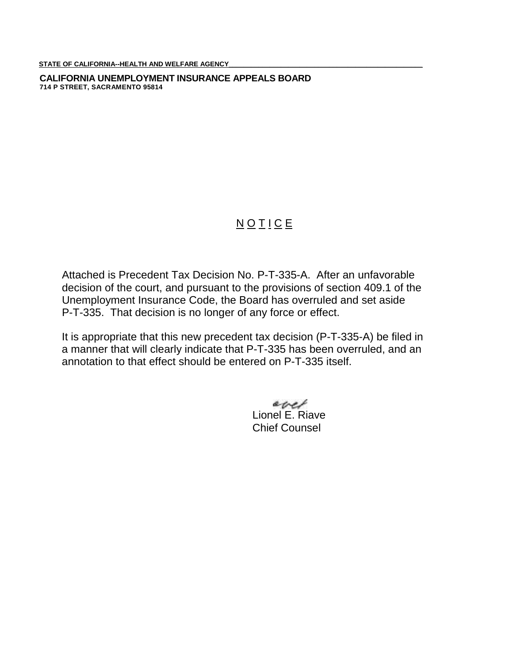STATE OF CALIFORNIA--HEALTH AND WELFARE AGENCY

**CALIFORNIA UNEMPLOYMENT INSURANCE APPEALS BOARD 714 P STREET, SACRAMENTO 95814**

## NOTICE

Attached is Precedent Tax Decision No. P-T-335-A. After an unfavorable decision of the court, and pursuant to the provisions of section 409.1 of the Unemployment Insurance Code, the Board has overruled and set aside P-T-335. That decision is no longer of any force or effect.

It is appropriate that this new precedent tax decision (P-T-335-A) be filed in a manner that will clearly indicate that P-T-335 has been overruled, and an annotation to that effect should be entered on P-T-335 itself.

> evel Lionel E. Riave Chief Counsel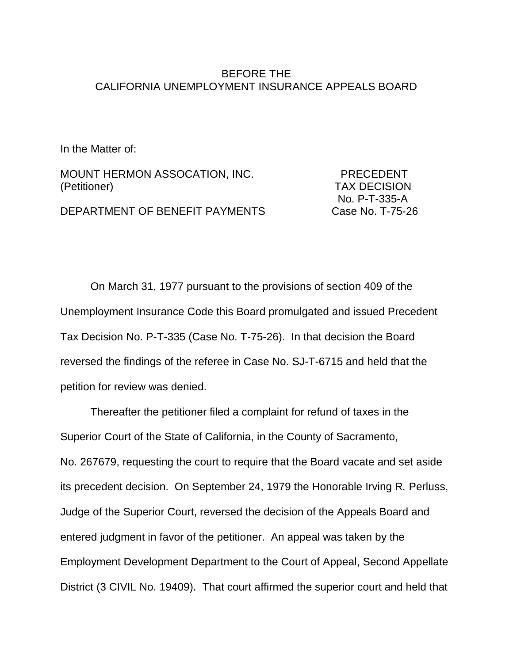## BEFORE THE CALIFORNIA UNEMPLOYMENT INSURANCE APPEALS BOARD

In the Matter of:

MOUNT HERMON ASSOCATION, INC. PRECEDENT (Petitioner) TAX DECISION

 No. P-T-335-A DEPARTMENT OF BENEFIT PAYMENTS Case No. T-75-26

On March 31, 1977 pursuant to the provisions of section 409 of the Unemployment Insurance Code this Board promulgated and issued Precedent Tax Decision No. P-T-335 (Case No. T-75-26). In that decision the Board reversed the findings of the referee in Case No. SJ-T-6715 and held that the petition for review was denied.

Thereafter the petitioner filed a complaint for refund of taxes in the Superior Court of the State of California, in the County of Sacramento, No. 267679, requesting the court to require that the Board vacate and set aside its precedent decision. On September 24, 1979 the Honorable Irving R*.* Perluss, Judge of the Superior Court, reversed the decision of the Appeals Board and entered judgment in favor of the petitioner. An appeal was taken by the Employment Development Department to the Court of Appeal, Second Appellate District (3 CIVIL No. 19409). That court affirmed the superior court and held that